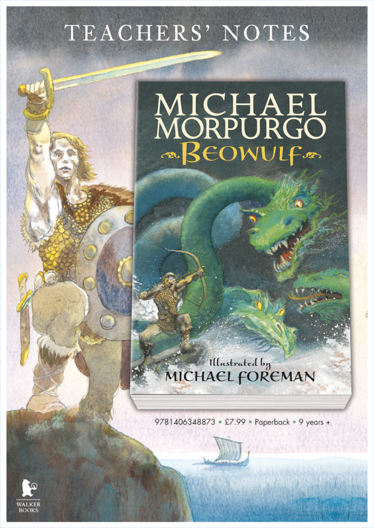# TEACHERS' NOTES

# MICHAEL<br>MORPURGO<br>EOWULF

Illustrated by<br>MICHAEL FOREMAN

9781406348873 • £7.99 • Paperback • 9 years +

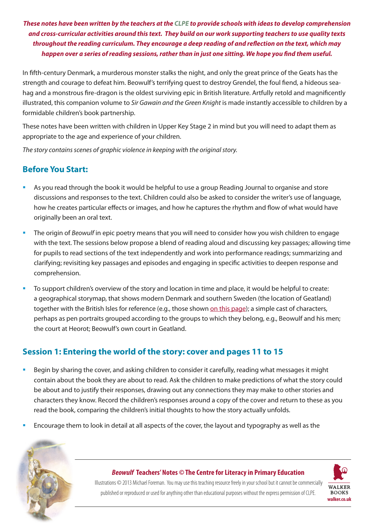*These notes have been written by the teachers at the [CLPE](https://clpe.org.uk/) to provide schools with ideas to develop comprehension and cross-curricular activities around this text. They build on our work supporting teachers to use quality texts throughout the reading curriculum. They encourage a deep reading of and reflection on the text, which may happen over a series of reading sessions, rather than in just one sitting. We hope you find them useful.*

In fifth-century Denmark, a murderous monster stalks the night, and only the great prince of the Geats has the strength and courage to defeat him. Beowulf's terrifying quest to destroy Grendel, the foul fiend, a hideous seahag and a monstrous fire-dragon is the oldest surviving epic in British literature. Artfully retold and magnificently illustrated, this companion volume to *Sir Gawain and the Green Knight* is made instantly accessible to children by a formidable children's book partnership.

These notes have been written with children in Upper Key Stage 2 in mind but you will need to adapt them as appropriate to the age and experience of your children.

*The story contains scenes of graphic violence in keeping with the original story.*

# **Before You Start:**

- As you read through the book it would be helpful to use a group Reading Journal to organise and store discussions and responses to the text. Children could also be asked to consider the writer's use of language, how he creates particular effects or images, and how he captures the rhythm and flow of what would have originally been an oral text.
- **The origin of** *Beowulf* in epic poetry means that you will need to consider how you wish children to engage with the text. The sessions below propose a blend of reading aloud and discussing key passages; allowing time for pupils to read sections of the text independently and work into performance readings; summarizing and clarifying; revisiting key passages and episodes and engaging in specific activities to deepen response and comprehension.
- To support children's overview of the story and location in time and place, it would be helpful to create: a geographical storymap, that shows modern Denmark and southern Sweden (the location of Geatland) together with the British Isles for reference (e.g., those shown [on this page](https://kua.libguides.com/beowulf)); a simple cast of characters, perhaps as pen portraits grouped according to the groups to which they belong, e.g., Beowulf and his men; the court at Heorot; Beowulf's own court in Geatland.

# **Session 1: Entering the world of the story: cover and pages 11 to 15**

- Begin by sharing the cover, and asking children to consider it carefully, reading what messages it might contain about the book they are about to read. Ask the children to make predictions of what the story could be about and to justify their responses, drawing out any connections they may make to other stories and characters they know. Record the children's responses around a copy of the cover and return to these as you read the book, comparing the children's initial thoughts to how the story actually unfolds.
- Encourage them to look in detail at all aspects of the cover, the layout and typography as well as the



#### *Beowulf* **Teachers' Notes** *©* **The Centre for Literacy in Primary Education**

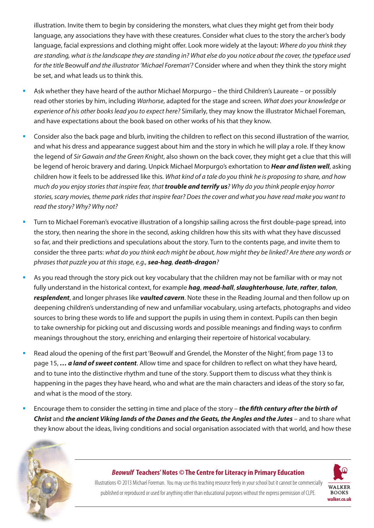illustration. Invite them to begin by considering the monsters, what clues they might get from their body language, any associations they have with these creatures. Consider what clues to the story the archer's body language, facial expressions and clothing might offer. Look more widely at the layout: *Where do you think they are standing, what is the landscape they are standing in? What else do you notice about the cover, the typeface used for the title* Beowulf *and the illustrator 'Michael Foreman'?* Consider where and when they think the story might be set, and what leads us to think this.

- Ask whether they have heard of the author Michael Morpurgo the third Children's Laureate or possibly read other stories by him, including *Warhorse*, adapted for the stage and screen. *What does your knowledge or experience of his other books lead you to expect here?* Similarly, they may know the illustrator Michael Foreman, and have expectations about the book based on other works of his that they know.
- Consider also the back page and blurb, inviting the children to reflect on this second illustration of the warrior, and what his dress and appearance suggest about him and the story in which he will play a role. If they know the legend of *Sir Gawain and the Green Knight*, also shown on the back cover, they might get a clue that this will be legend of heroic bravery and daring. Unpick Michael Morpurgo's exhortation to *Hear and listen well*, asking children how it feels to be addressed like this. *What kind of a tale do you think he is proposing to share, and how much do you enjoy stories that inspire fear, that trouble and terrify us? Why do you think people enjoy horror stories, scary movies, theme park rides that inspire fear? Does the cover and what you have read make you want to read the story? Why? Why not?*
- Turn to Michael Foreman's evocative illustration of a longship sailing across the first double-page spread, into the story, then nearing the shore in the second, asking children how this sits with what they have discussed so far, and their predictions and speculations about the story. Turn to the contents page, and invite them to consider the three parts: *what do you think each might be about, how might they be linked? Are there any words or phrases that puzzle you at this stage, e.g., sea-hag, death-dragon?*
- As you read through the story pick out key vocabulary that the children may not be familiar with or may not fully understand in the historical context, for example *hag*, *mead-hall*, *slaughterhouse*, *lute*, *rafter*, *talon*, *resplendent*, and longer phrases like *vaulted cavern*. Note these in the Reading Journal and then follow up on deepening children's understanding of new and unfamiliar vocabulary, using artefacts, photographs and video sources to bring these words to life and support the pupils in using them in context. Pupils can then begin to take ownership for picking out and discussing words and possible meanings and finding ways to confirm meanings throughout the story, enriching and enlarging their repertoire of historical vocabulary.
- Read aloud the opening of the first part 'Beowulf and Grendel, the Monster of the Night', from page 13 to page 15, *… a land of sweet content*. Allow time and space for children to reflect on what they have heard, and to tune into the distinctive rhythm and tune of the story. Support them to discuss what they think is happening in the pages they have heard, who and what are the main characters and ideas of the story so far, and what is the mood of the story.
- Encourage them to consider the setting in time and place of the story *the fifth century after the birth of Christ* and *the ancient Viking lands of the Danes and the Geats, the Angles and the Jutes* – and to share what they know about the ideas, living conditions and social organisation associated with that world, and how these



#### *Beowulf* **Teachers' Notes** *©* **The Centre for Literacy in Primary Education**

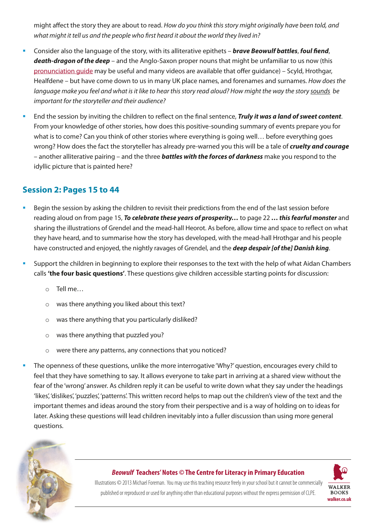might affect the story they are about to read. *How do you think this story might originally have been told, and what might it tell us and the people who first heard it about the world they lived in?*

- Consider also the language of the story, with its alliterative epithets *brave Beowulf battles*, *foul fiend*, *death-dragon of the deep* – and the Anglo-Saxon proper nouns that might be unfamiliar to us now (this [pronunciation guide](http://drmarkwomack.com/pdfs/beowulf-pronunciation-guide.pdf) may be useful and many videos are available that offer guidance) – Scyld, Hrothgar, Healfdene – but have come down to us in many UK place names, and forenames and surnames. *How does the language make you feel and what is it like to hear this story read aloud? How might the way the story sounds be important for the storyteller and their audience?*
- End the session by inviting the children to reflect on the final sentence, *Truly it was a land of sweet content*. From your knowledge of other stories, how does this positive-sounding summary of events prepare you for what is to come? Can you think of other stories where everything is going well… before everything goes wrong? How does the fact the storyteller has already pre-warned you this will be a tale of *cruelty and courage* – another alliterative pairing – and the three *battles with the forces of darkness* make you respond to the idyllic picture that is painted here?

# **Session 2: Pages 15 to 44**

- Begin the session by asking the children to revisit their predictions from the end of the last session before reading aloud on from page 15, *To celebrate these years of prosperity…* to page 22 *… this fearful monster* and sharing the illustrations of Grendel and the mead-hall Heorot. As before, allow time and space to reflect on what they have heard, and to summarise how the story has developed, with the mead-hall Hrothgar and his people have constructed and enjoyed, the nightly ravages of Grendel, and the *deep despair [of the] Danish king*.
- Support the children in beginning to explore their responses to the text with the help of what Aidan Chambers calls **'the four basic questions'**. These questions give children accessible starting points for discussion:
	- o Tell me…
	- o was there anything you liked about this text?
	- o was there anything that you particularly disliked?
	- o was there anything that puzzled you?
	- $\circ$  were there any patterns, any connections that you noticed?
- The openness of these questions, unlike the more interrogative 'Why?' question, encourages every child to feel that they have something to say. It allows everyone to take part in arriving at a shared view without the fear of the 'wrong' answer. As children reply it can be useful to write down what they say under the headings 'likes', 'dislikes', 'puzzles', 'patterns'. This written record helps to map out the children's view of the text and the important themes and ideas around the story from their perspective and is a way of holding on to ideas for later. Asking these questions will lead children inevitably into a fuller discussion than using more general questions.



#### *Beowulf* **Teachers' Notes** *©* **The Centre for Literacy in Primary Education**

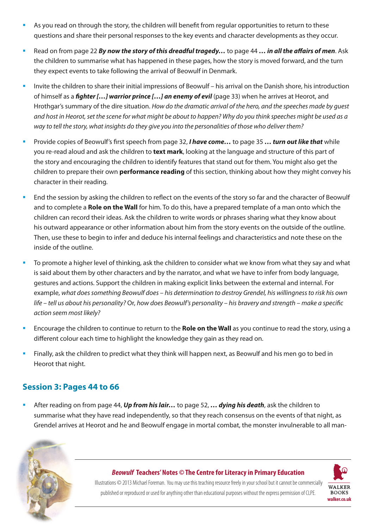- As you read on through the story, the children will benefit from regular opportunities to return to these questions and share their personal responses to the key events and character developments as they occur.
- Read on from page 22 *By now the story of this dreadful tragedy…* to page 44 *… in all the affairs of men*. Ask the children to summarise what has happened in these pages, how the story is moved forward, and the turn they expect events to take following the arrival of Beowulf in Denmark.
- Invite the children to share their initial impressions of Beowulf his arrival on the Danish shore, his introduction of himself as a *fighter […] warrior prince […] an enemy of evil* (page 33) when he arrives at Heorot, and Hrothgar's summary of the dire situation. *How do the dramatic arrival of the hero, and the speeches made by guest and host in Heorot, set the scene for what might be about to happen? Why do you think speeches might be used as a way to tell the story, what insights do they give you into the personalities of those who deliver them?*
- Provide copies of Beowulf's first speech from page 32, *I have come…* to page 35 *… turn out like that* while you re-read aloud and ask the children to **text mark**, looking at the language and structure of this part of the story and encouraging the children to identify features that stand out for them. You might also get the children to prepare their own **performance reading** of this section, thinking about how they might convey his character in their reading.
- End the session by asking the children to reflect on the events of the story so far and the character of Beowulf and to complete a **Role on the Wall** for him. To do this, have a prepared template of a man onto which the children can record their ideas. Ask the children to write words or phrases sharing what they know about his outward appearance or other information about him from the story events on the outside of the outline. Then, use these to begin to infer and deduce his internal feelings and characteristics and note these on the inside of the outline.
- To promote a higher level of thinking, ask the children to consider what we know from what they say and what is said about them by other characters and by the narrator, and what we have to infer from body language, gestures and actions. Support the children in making explicit links between the external and internal. For example, *what does something Beowulf does – his determination to destroy Grendel, his willingness to risk his own life – tell us about his personality?* Or, *how does Beowulf's personality – his bravery and strength – make a specific action seem most likely?*
- Encourage the children to continue to return to the **Role on the Wall** as you continue to read the story, using a different colour each time to highlight the knowledge they gain as they read on.
- Finally, ask the children to predict what they think will happen next, as Beowulf and his men go to bed in Heorot that night.

# **Session 3: Pages 44 to 66**

 After reading on from page 44, *Up from his lair…* to page 52, *… dying his death*, ask the children to summarise what they have read independently, so that they reach consensus on the events of that night, as Grendel arrives at Heorot and he and Beowulf engage in mortal combat, the monster invulnerable to all man-



#### *Beowulf* **Teachers' Notes** *©* **The Centre for Literacy in Primary Education**

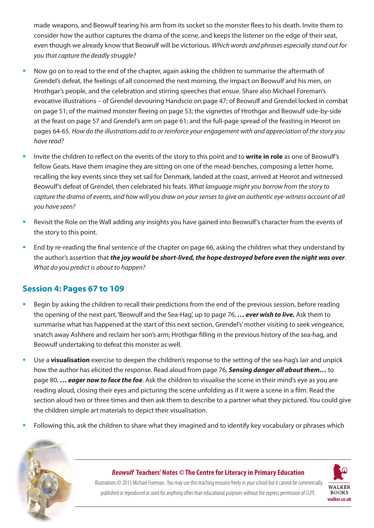made weapons, and Beowulf tearing his arm from its socket so the monster flees to his death. Invite them to consider how the author captures the drama of the scene, and keeps the listener on the edge of their seat, even though we already know that Beowulf will be victorious. *Which words and phrases especially stand out for you that capture the deadly struggle?*

- Now go on to read to the end of the chapter, again asking the children to summarise the aftermath of Grendel's defeat, the feelings of all concerned the next morning, the impact on Beowulf and his men, on Hrothgar's people, and the celebration and stirring speeches that ensue. Share also Michael Foreman's evocative illustrations – of Grendel devouring Handscio on page 47; of Beowulf and Grendel locked in combat on page 51; of the maimed monster fleeing on page 53; the vignettes of Hrothgar and Beowulf side-by-side at the feast on page 57 and Grendel's arm on page 61; and the full-page spread of the feasting in Heorot on pages 64-65. *How do the illustrations add to or reinforce your engagement with and appreciation of the story you have read?*
- Invite the children to reflect on the events of the story to this point and to **write in role** as one of Beowulf's fellow Geats. Have them imagine they are sitting on one of the mead-benches, composing a letter home, recalling the key events since they set sail for Denmark, landed at the coast, arrived at Heorot and witnessed Beowulf's defeat of Grendel, then celebrated his feats. *What language might you borrow from the story to capture the drama of events, and how will you draw on your senses to give an authentic eye-witness account of all you have seen?*
- Revisit the Role on the Wall adding any insights you have gained into Beowulf's character from the events of the story to this point.
- End by re-reading the final sentence of the chapter on page 66, asking the children what they understand by the author's assertion that *the joy would be short-lived, the hope destroyed before even the night was over*. *What do you predict is about to happen?*

# **Session 4: Pages 67 to 109**

- Begin by asking the children to recall their predictions from the end of the previous session, before reading the opening of the next part, 'Beowulf and the Sea-Hag', up to page 76, *… ever wish to live.* Ask them to summarise what has happened at the start of this next section, Grendel's' mother visiting to seek vengeance, snatch away Ashhere and reclaim her son's arm; Hrothgar filling in the previous history of the sea-hag, and Beowulf undertaking to defeat this monster as well.
- Use a **visualisation** exercise to deepen the children's response to the setting of the sea-hag's lair and unpick how the author has elicited the response. Read aloud from page 76, *Sensing danger all about them…* to page 80, *… eager now to face the foe*. Ask the children to visualise the scene in their mind's eye as you are reading aloud, closing their eyes and picturing the scene unfolding as if it were a scene in a film. Read the section aloud two or three times and then ask them to describe to a partner what they pictured. You could give the children simple art materials to depict their visualisation.
- Following this, ask the children to share what they imagined and to identify key vocabulary or phrases which



#### *Beowulf* **Teachers' Notes** *©* **The Centre for Literacy in Primary Education**

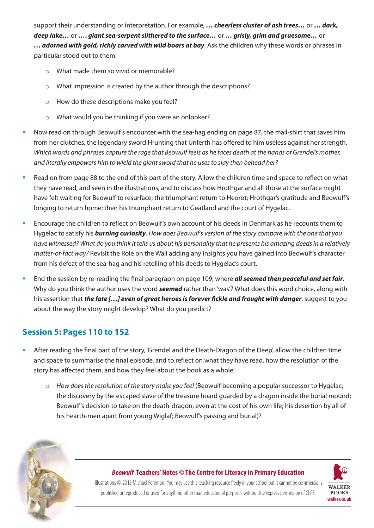support their understanding or interpretation. For example, *… cheerless cluster of ash trees…* or *… dark, deep lake…* or *…. giant sea-serpent slithered to the surface…* or *… grisly, grim and gruesome…* or *… adorned with gold, richly carved with wild boars at bay*. Ask the children why these words or phrases in particular stood out to them.

- o What made them so vivid or memorable?
- o What impression is created by the author through the descriptions?
- o How do these descriptions make you feel?
- o What would you be thinking if you were an onlooker?
- Now read on through Beowulf's encounter with the sea-hag ending on page 87, the mail-shirt that saves him from her clutches, the legendary sword Hrunting that Unferth has offered to him useless against her strength. *Which words and phrases capture the rage that Beowulf feels as he faces death at the hands of Grendel's mother, and literally empowers him to wield the giant sword that he uses to slay then behead her?*
- Read on from page 88 to the end of this part of the story. Allow the children time and space to reflect on what they have read, and seen in the illustrations, and to discuss how Hrothgar and all those at the surface might have felt waiting for Beowulf to resurface; the triumphant return to Heorot; Hrothgar's gratitude and Beowulf's longing to return home; then his triumphant return to Geatland and the court of Hygelac.
- Encourage the children to reflect on Beowulf's own account of his deeds in Denmark as he recounts them to Hygelac to satisfy his *burning curiosity*. *How does Beowulf's version of the story compare with the one that you have witnessed? What do you think it tells us about his personality that he presents his amazing deeds in a relatively matter-of-fact way?* Revisit the Role on the Wall adding any insights you have gained into Beowulf's character from his defeat of the sea-hag and his retelling of his deeds to Hygelac's court.
- End the session by re-reading the final paragraph on page 109, where *all seemed then peaceful and set fair*. Why do you think the author uses the word *seemed* rather than 'was'? What does this word choice, along with his assertion that *the fate […] even of great heroes is forever fickle and fraught with danger*, suggest to you about the way the story might develop? What do you predict?

# **Session 5: Pages 110 to 152**

- After reading the final part of the story, 'Grendel and the Death-Dragon of the Deep', allow the children time and space to summarise the final episode, and to reflect on what they have read, how the resolution of the story has affected them, and how they feel about the book as a whole:
	- o *How does the resolution of the story make you feel* (Beowulf becoming a popular successor to Hygelac; the discovery by the escaped slave of the treasure hoard guarded by a dragon inside the burial mound; Beowulf's decision to take on the death-dragon, even at the cost of his own life; his desertion by all of his hearth-men apart from young Wiglaf; Beowulf's passing and burial)?



#### *Beowulf* **Teachers' Notes** *©* **The Centre for Literacy in Primary Education**

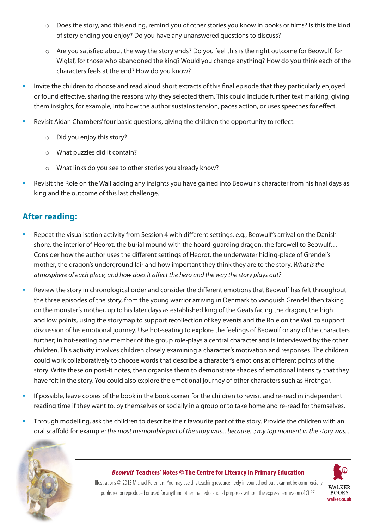- o Does the story, and this ending, remind you of other stories you know in books or films? Is this the kind of story ending you enjoy? Do you have any unanswered questions to discuss?
- $\circ$  Are you satisfied about the way the story ends? Do you feel this is the right outcome for Beowulf, for Wiglaf, for those who abandoned the king? Would you change anything? How do you think each of the characters feels at the end? How do you know?
- Invite the children to choose and read aloud short extracts of this final episode that they particularly enjoyed or found effective, sharing the reasons why they selected them. This could include further text marking, giving them insights, for example, into how the author sustains tension, paces action, or uses speeches for effect.
- Revisit Aidan Chambers' four basic questions, giving the children the opportunity to reflect.
	- o Did you enjoy this story?
	- o What puzzles did it contain?
	- o What links do you see to other stories you already know?
- Revisit the Role on the Wall adding any insights you have gained into Beowulf's character from his final days as king and the outcome of this last challenge.

# **After reading:**

- Repeat the visualisation activity from Session 4 with different settings, e.g., Beowulf's arrival on the Danish shore, the interior of Heorot, the burial mound with the hoard-guarding dragon, the farewell to Beowulf… Consider how the author uses the different settings of Heorot, the underwater hiding-place of Grendel's mother, the dragon's underground lair and how important they think they are to the story. *What is the atmosphere of each place, and how does it affect the hero and the way the story plays out?*
- Review the story in chronological order and consider the different emotions that Beowulf has felt throughout the three episodes of the story, from the young warrior arriving in Denmark to vanquish Grendel then taking on the monster's mother, up to his later days as established king of the Geats facing the dragon, the high and low points, using the storymap to support recollection of key events and the Role on the Wall to support discussion of his emotional journey. Use hot-seating to explore the feelings of Beowulf or any of the characters further; in hot-seating one member of the group role-plays a central character and is interviewed by the other children. This activity involves children closely examining a character's motivation and responses. The children could work collaboratively to choose words that describe a character's emotions at different points of the story. Write these on post-it notes, then organise them to demonstrate shades of emotional intensity that they have felt in the story. You could also explore the emotional journey of other characters such as Hrothgar.
- If possible, leave copies of the book in the book corner for the children to revisit and re-read in independent reading time if they want to, by themselves or socially in a group or to take home and re-read for themselves.
- Through modelling, ask the children to describe their favourite part of the story. Provide the children with an oral scaffold for example: *the most memorable part of the story was... because...; my top moment in the story was...*



#### *Beowulf* **Teachers' Notes** *©* **The Centre for Literacy in Primary Education**

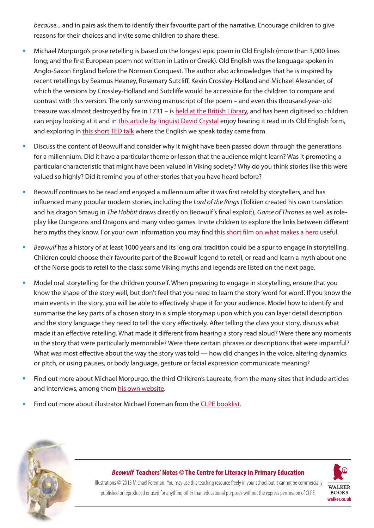*because...* and in pairs ask them to identify their favourite part of the narrative. Encourage children to give reasons for their choices and invite some children to share these.

- Michael Morpurgo's prose retelling is based on the longest epic poem in Old English (more than 3,000 lines long; and the first European poem not written in Latin or Greek). Old English was the language spoken in Anglo-Saxon England before the Norman Conquest. The author also acknowledges that he is inspired by recent retellings by Seamus Heaney, Rosemary Sutcliff, Kevin Crossley-Holland and Michael Alexander, of which the versions by Crossley-Holland and Sutcliffe would be accessible for the children to compare and contrast with this version. The only surviving manuscript of the poem – and even this thousand-year-old treasure was almost destroyed by fire in 1731 – is [held at the British Library](https://www.bl.uk/collection-items/beowulf), and has been digitised so children can enjoy looking at it and in [this article by linguist David Crystal](https://www.bl.uk/medieval-literature/articles/old-english) enjoy hearing it read in its Old English form, and exploring in [this short TED talk](https://www.ted.com/talks/claire_bowern_where_did_english_come_from/transcript?language=en) where the English we speak today came from.
- Discuss the content of Beowulf and consider why it might have been passed down through the generations for a millennium. Did it have a particular theme or lesson that the audience might learn? Was it promoting a particular characteristic that might have been valued in Viking society? Why do you think stories like this were valued so highly? Did it remind you of other stories that you have heard before?
- Beowulf continues to be read and enjoyed a millennium after it was first retold by storytellers, and has influenced many popular modern stories, including the *Lord of the Rings* (Tolkien created his own translation and his dragon Smaug in *The Hobbit* draws directly on Beowulf's final exploit), *Game of Thrones* as well as roleplay like Dungeons and Dragons and many video games. Invite children to explore the links between different hero myths they know. For your own information you may find [this short film on what makes a hero](https://www.ted.com/talks/matthew_winkler_what_makes_a_hero?language=en) useful.
- *Beowulf* has a history of at least 1000 years and its long oral tradition could be a spur to engage in storytelling. Children could choose their favourite part of the Beowulf legend to retell, or read and learn a myth about one of the Norse gods to retell to the class: some Viking myths and legends are listed on the next page.
- Model oral storytelling for the children yourself. When preparing to engage in storytelling, ensure that you know the shape of the story well, but don't feel that you need to learn the story 'word for word'. If you know the main events in the story, you will be able to effectively shape it for your audience. Model how to identify and summarise the key parts of a chosen story in a simple storymap upon which you can layer detail description and the story language they need to tell the story effectively. After telling the class your story, discuss what made it an effective retelling. What made it different from hearing a story read aloud? Were there any moments in the story that were particularly memorable? Were there certain phrases or descriptions that were impactful? What was most effective about the way the story was told — how did changes in the voice, altering dynamics or pitch, or using pauses, or body language, gesture or facial expression communicate meaning?
- Find out more about Michael Morpurgo, the third Children's Laureate, from the many sites that include articles and interviews, among them [his own website](https://www.michaelmorpurgo.com/).
- Find out more about illustrator Michael Foreman from the [CLPE booklist.](https://clpe.org.uk/system/files/Michael%20Foreman%20Booklist.pdf)



#### *Beowulf* **Teachers' Notes** *©* **The Centre for Literacy in Primary Education**